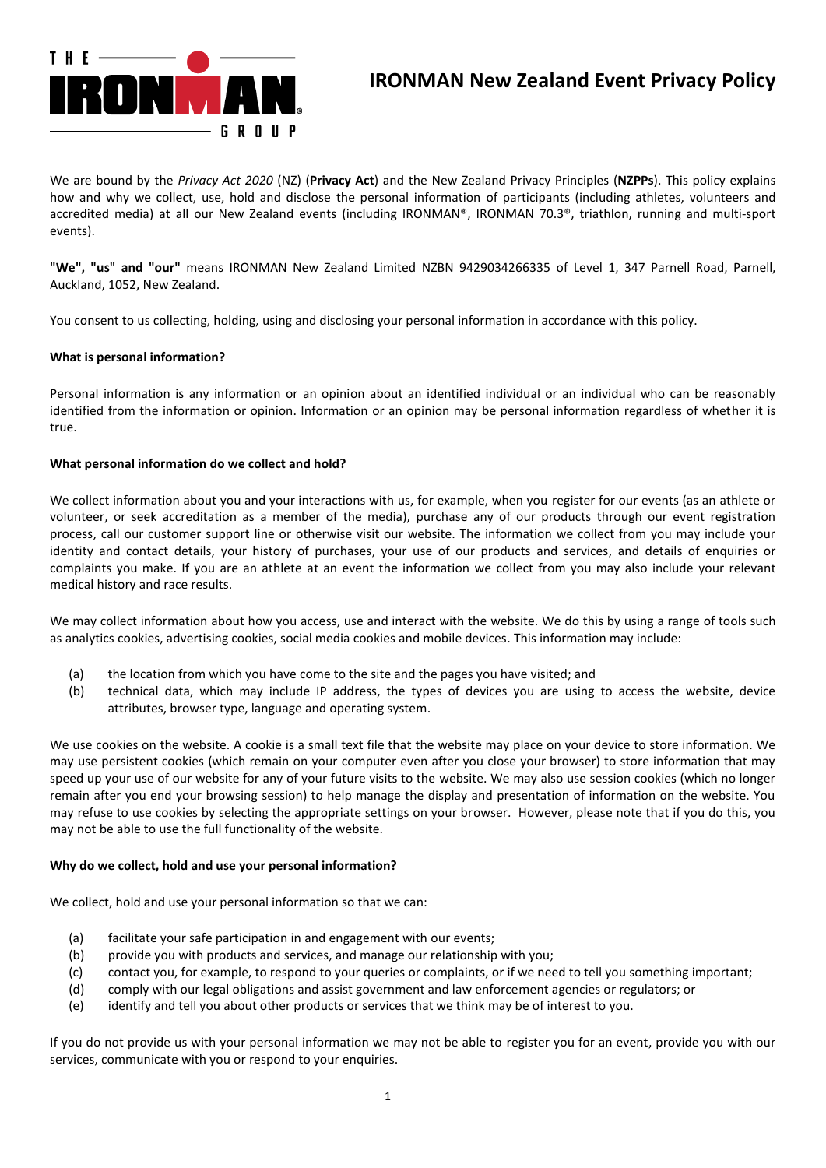

# **IRONMAN New Zealand Event Privacy Policy**

We are bound by the *Privacy Act 2020* (NZ) (**Privacy Act**) and the New Zealand Privacy Principles (**NZPPs**). This policy explains how and why we collect, use, hold and disclose the personal information of participants (including athletes, volunteers and accredited media) at all our New Zealand events (including IRONMAN®, IRONMAN 70.3®, triathlon, running and multi-sport events).

**"We", "us" and "our"** means IRONMAN New Zealand Limited NZBN 9429034266335 of Level 1, 347 Parnell Road, Parnell, Auckland, 1052, New Zealand.

You consent to us collecting, holding, using and disclosing your personal information in accordance with this policy.

## **What is personal information?**

Personal information is any information or an opinion about an identified individual or an individual who can be reasonably identified from the information or opinion. Information or an opinion may be personal information regardless of whether it is true.

## **What personal information do we collect and hold?**

We collect information about you and your interactions with us, for example, when you register for our events (as an athlete or volunteer, or seek accreditation as a member of the media), purchase any of our products through our event registration process, call our customer support line or otherwise visit our website. The information we collect from you may include your identity and contact details, your history of purchases, your use of our products and services, and details of enquiries or complaints you make. If you are an athlete at an event the information we collect from you may also include your relevant medical history and race results.

We may collect information about how you access, use and interact with the website. We do this by using a range of tools such as analytics cookies, advertising cookies, social media cookies and mobile devices. This information may include:

- (a) the location from which you have come to the site and the pages you have visited; and
- (b) technical data, which may include IP address, the types of devices you are using to access the website, device attributes, browser type, language and operating system.

We use cookies on the website. A cookie is a small text file that the website may place on your device to store information. We may use persistent cookies (which remain on your computer even after you close your browser) to store information that may speed up your use of our website for any of your future visits to the website. We may also use session cookies (which no longer remain after you end your browsing session) to help manage the display and presentation of information on the website. You may refuse to use cookies by selecting the appropriate settings on your browser. However, please note that if you do this, you may not be able to use the full functionality of the website.

#### **Why do we collect, hold and use your personal information?**

We collect, hold and use your personal information so that we can:

- (a) facilitate your safe participation in and engagement with our events;
- (b) provide you with products and services, and manage our relationship with you;
- (c) contact you, for example, to respond to your queries or complaints, or if we need to tell you something important;
- (d) comply with our legal obligations and assist government and law enforcement agencies or regulators; or
- (e) identify and tell you about other products or services that we think may be of interest to you.

If you do not provide us with your personal information we may not be able to register you for an event, provide you with our services, communicate with you or respond to your enquiries.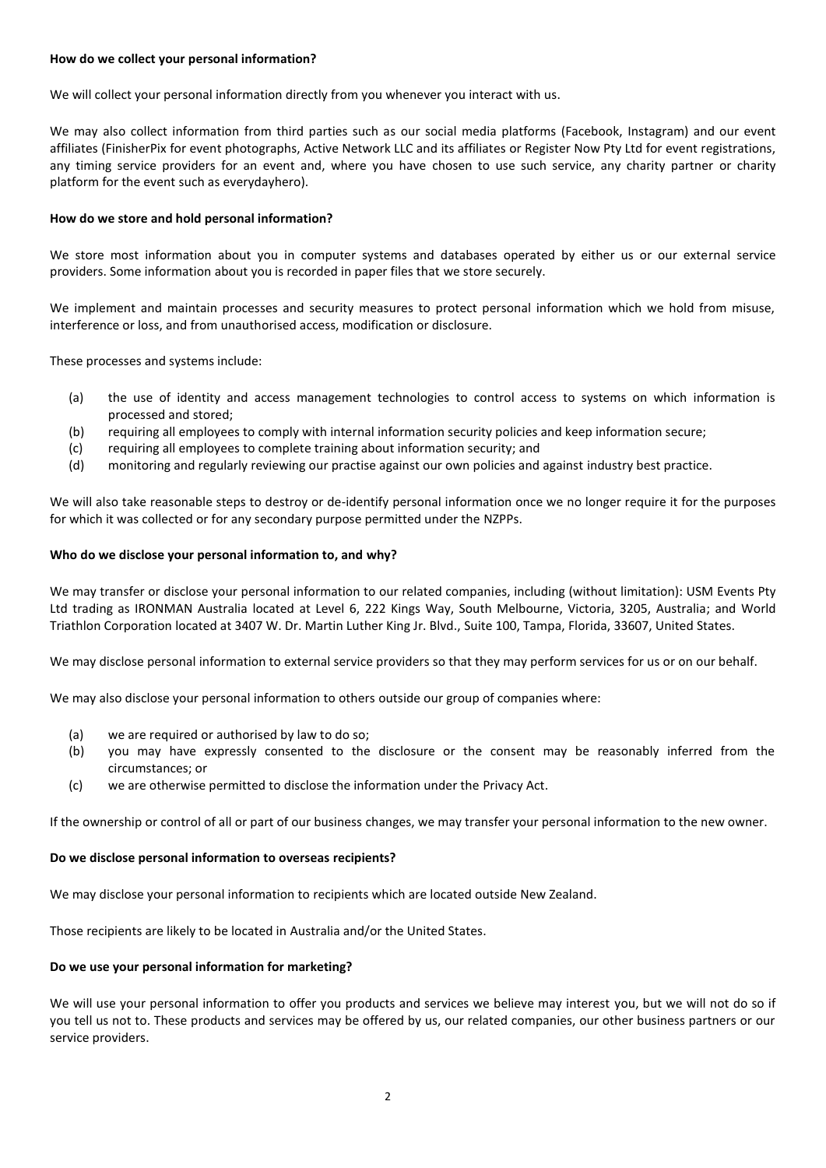# **How do we collect your personal information?**

We will collect your personal information directly from you whenever you interact with us.

We may also collect information from third parties such as our social media platforms (Facebook, Instagram) and our event affiliates (FinisherPix for event photographs, Active Network LLC and its affiliates or Register Now Pty Ltd for event registrations, any timing service providers for an event and, where you have chosen to use such service, any charity partner or charity platform for the event such as everydayhero).

# **How do we store and hold personal information?**

We store most information about you in computer systems and databases operated by either us or our external service providers. Some information about you is recorded in paper files that we store securely.

We implement and maintain processes and security measures to protect personal information which we hold from misuse, interference or loss, and from unauthorised access, modification or disclosure.

These processes and systems include:

- (a) the use of identity and access management technologies to control access to systems on which information is processed and stored;
- (b) requiring all employees to comply with internal information security policies and keep information secure;
- (c) requiring all employees to complete training about information security; and
- (d) monitoring and regularly reviewing our practise against our own policies and against industry best practice.

We will also take reasonable steps to destroy or de-identify personal information once we no longer require it for the purposes for which it was collected or for any secondary purpose permitted under the NZPPs.

#### **Who do we disclose your personal information to, and why?**

We may transfer or disclose your personal information to our related companies, including (without limitation): USM Events Pty Ltd trading as IRONMAN Australia located at Level 6, 222 Kings Way, South Melbourne, Victoria, 3205, Australia; and World Triathlon Corporation located at 3407 W. Dr. Martin Luther King Jr. Blvd., Suite 100, Tampa, Florida, 33607, United States.

We may disclose personal information to external service providers so that they may perform services for us or on our behalf.

We may also disclose your personal information to others outside our group of companies where:

- (a) we are required or authorised by law to do so;
- (b) you may have expressly consented to the disclosure or the consent may be reasonably inferred from the circumstances; or
- (c) we are otherwise permitted to disclose the information under the Privacy Act.

If the ownership or control of all or part of our business changes, we may transfer your personal information to the new owner.

## **Do we disclose personal information to overseas recipients?**

We may disclose your personal information to recipients which are located outside New Zealand.

Those recipients are likely to be located in Australia and/or the United States.

#### **Do we use your personal information for marketing?**

We will use your personal information to offer you products and services we believe may interest you, but we will not do so if you tell us not to. These products and services may be offered by us, our related companies, our other business partners or our service providers.